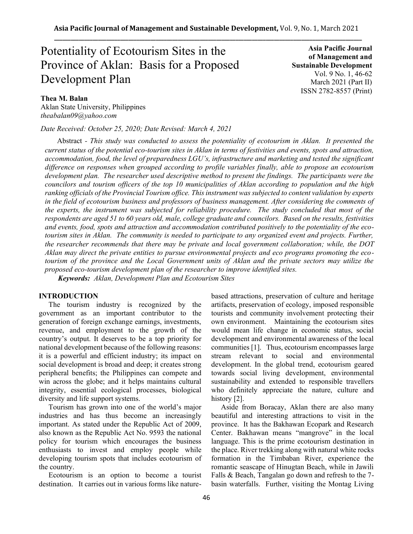# Potentiality of Ecotourism Sites in the Province of Aklan: Basis for a Proposed Development Plan

**Asia Pacific Journal of Management and Sustainable Development**  Vol. 9 No. 1, 46-62 March 2021 (Part II) ISSN 2782-8557 (Print)

## **Thea M. Balan**

Aklan State University, Philippines *theabalan09@yahoo.com*

*Date Received: October 25, 2020; Date Revised: March 4, 2021*

Abstract *- This study was conducted to assess the potentiality of ecotourism in Aklan. It presented the current status of the potential eco-tourism sites in Aklan in terms of festivities and events, spots and attraction, accommodation, food, the level of preparedness LGU's, infrastructure and marketing and tested the significant difference on responses when grouped according to profile variables finally, able to propose an ecotourism development plan. The researcher used descriptive method to present the findings. The participants were the councilors and tourism officers of the top 10 municipalities of Aklan according to population and the high ranking officials of the Provincial Tourism office. This instrument was subjected to content validation by experts in the field of ecotourism business and professors of business management. After considering the comments of the experts, the instrument was subjected for reliability procedure. The study concluded that most of the respondents are aged 51 to 60 years old, male, college graduate and councilors. Based on the results, festivities and events, food, spots and attraction and accommodation contributed positively to the potentiality of the ecotourism sites in Aklan. The community is needed to participate to any organized event and projects. Further, the researcher recommends that there may be private and local government collaboration; while, the DOT Aklan may direct the private entities to pursue environmental projects and eco programs promoting the ecotourism of the province and the Local Government units of Aklan and the private sectors may utilize the proposed eco-tourism development plan of the researcher to improve identified sites.* 

*Keywords: Aklan, Development Plan and Ecotourism Sites*

#### **INTRODUCTION**

The tourism industry is recognized by the government as an important contributor to the generation of foreign exchange earnings, investments, revenue, and employment to the growth of the country's output. It deserves to be a top priority for national development because of the following reasons: it is a powerful and efficient industry; its impact on social development is broad and deep; it creates strong peripheral benefits; the Philippines can compete and win across the globe; and it helps maintains cultural integrity, essential ecological processes, biological diversity and life support systems.

Tourism has grown into one of the world's major industries and has thus become an increasingly important. As stated under the Republic Act of 2009, also known as the Republic Act No. 9593 the national policy for tourism which encourages the business enthusiasts to invest and employ people while developing tourism spots that includes ecotourism of the country.

Ecotourism is an option to become a tourist destination. It carries out in various forms like naturebased attractions, preservation of culture and heritage artifacts, preservation of ecology, imposed responsible tourists and community involvement protecting their own environment. Maintaining the ecotourism sites would mean life change in economic status, social development and environmental awareness of the local communities [1]. Thus, ecotourism encompasses large stream relevant to social and environmental development. In the global trend, ecotourism geared towards social living development, environmental sustainability and extended to responsible travellers who definitely appreciate the nature, culture and history [2].

Aside from Boracay, Aklan there are also many beautiful and interesting attractions to visit in the province. It has the Bakhawan Ecopark and Research Center. Bakhawan means "mangrove" in the local language. This is the prime ecotourism destination in the place. River trekking along with natural white rocks formation in the Timbaban River, experience the romantic seascape of Hinugtan Beach, while in Jawili Falls & Beach, Tangalan go down and refresh to the 7 basin waterfalls. Further, visiting the Montag Living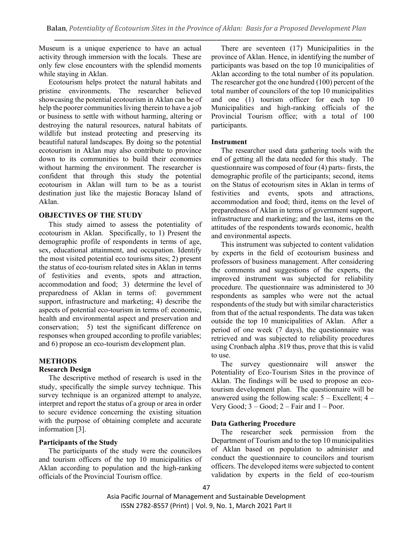Museum is a unique experience to have an actual activity through immersion with the locals. These are only few close encounters with the splendid moments while staying in Aklan.

Ecotourism helps protect the natural habitats and pristine environments. The researcher believed showcasing the potential ecotourism in Aklan can be of help the poorer communities living therein to have a job or business to settle with without harming, altering or destroying the natural resources, natural habitats of wildlife but instead protecting and preserving its beautiful natural landscapes. By doing so the potential ecotourism in Aklan may also contribute to province down to its communities to build their economies without harming the environment. The researcher is confident that through this study the potential ecotourism in Aklan will turn to be as a tourist destination just like the majestic Boracay Island of Aklan.

## **OBJECTIVES OF THE STUDY**

This study aimed to assess the potentiality of ecotourism in Aklan. Specifically, to 1) Present the demographic profile of respondents in terms of age, sex, educational attainment, and occupation. Identify the most visited potential eco tourisms sites; 2) present the status of eco-tourism related sites in Aklan in terms of festivities and events, spots and attraction, accommodation and food; 3) determine the level of preparedness of Aklan in terms of: government support, infrastructure and marketing; 4) describe the aspects of potential eco-tourism in terms of: economic, health and environmental aspect and preservation and conservation; 5) test the significant difference on responses when grouped according to profile variables; and 6) propose an eco-tourism development plan.

## **METHODS**

## **Research Design**

The descriptive method of research is used in the study, specifically the simple survey technique. This survey technique is an organized attempt to analyze, interpret and report the status of a group or area in order to secure evidence concerning the existing situation with the purpose of obtaining complete and accurate information [3].

## **Participants of the Study**

The participants of the study were the councilors and tourism officers of the top 10 municipalities of Aklan according to population and the high-ranking officials of the Provincial Tourism office.

There are seventeen (17) Municipalities in the province of Aklan. Hence, in identifying the number of participants was based on the top 10 municipalities of Aklan according to the total number of its population. The researcher got the one hundred (100) percent of the total number of councilors of the top 10 municipalities and one (1) tourism officer for each top 10 Municipalities and high-ranking officials of the Provincial Tourism office; with a total of 100 participants.

### **Instrument**

The researcher used data gathering tools with the end of getting all the data needed for this study. The questionnaire was composed of four (4) parts- firsts, the demographic profile of the participants; second, items on the Status of ecotourism sites in Aklan in terms of festivities and events, spots and attractions, accommodation and food; third, items on the level of preparedness of Aklan in terms of government support, infrastructure and marketing; and the last, items on the attitudes of the respondents towards economic, health and environmental aspects.

This instrument was subjected to content validation by experts in the field of ecotourism business and professors of business management. After considering the comments and suggestions of the experts, the improved instrument was subjected for reliability procedure. The questionnaire was administered to 30 respondents as samples who were not the actual respondents of the study but with similar characteristics from that of the actual respondents. The data was taken outside the top 10 municipalities of Aklan. After a period of one week (7 days), the questionnaire was retrieved and was subjected to reliability procedures using Cronbach alpha .819 thus, prove that this is valid to use.

The survey questionnaire will answer the Potentiality of Eco-Tourism Sites in the province of Aklan. The findings will be used to propose an ecotourism development plan. The questionnaire will be answered using the following scale:  $5 -$  Excellent;  $4 -$ Very Good;  $3 - Good$ ;  $2 - Fair$  and  $1 - Poor$ .

## **Data Gathering Procedure**

The researcher seek permission from the Department of Tourism and to the top 10 municipalities of Aklan based on population to administer and conduct the questionnaire to councilors and tourism officers. The developed items were subjected to content validation by experts in the field of eco-tourism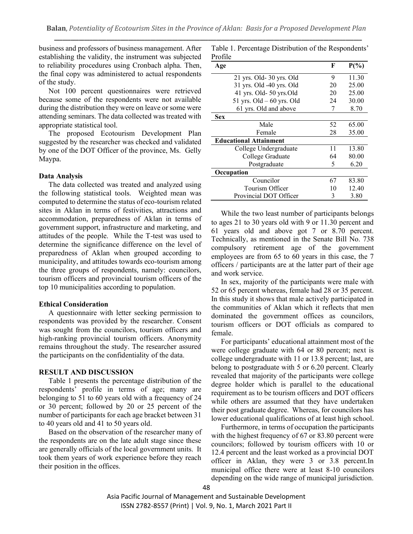business and professors of business management. After establishing the validity, the instrument was subjected to reliability procedures using Cronbach alpha. Then, the final copy was administered to actual respondents of the study.

Not 100 percent questionnaires were retrieved because some of the respondents were not available during the distribution they were on leave or some were attending seminars. The data collected was treated with appropriate statistical tool.

The proposed Ecotourism Development Plan suggested by the researcher was checked and validated by one of the DOT Officer of the province, Ms. Gelly Maypa.

#### **Data Analysis**

The data collected was treated and analyzed using the following statistical tools. Weighted mean was computed to determine the status of eco-tourism related sites in Aklan in terms of festivities, attractions and accommodation, preparedness of Aklan in terms of government support, infrastructure and marketing, and attitudes of the people. While the T-test was used to determine the significance difference on the level of preparedness of Aklan when grouped according to municipality, and attitudes towards eco-tourism among the three groups of respondents, namely: councilors, tourism officers and provincial tourism officers of the top 10 municipalities according to population.

#### **Ethical Consideration**

A questionnaire with letter seeking permission to respondents was provided by the researcher. Consent was sought from the councilors, tourism officers and high-ranking provincial tourism officers. Anonymity remains throughout the study. The researcher assured the participants on the confidentiality of the data.

#### **RESULT AND DISCUSSION**

Table 1 presents the percentage distribution of the respondents' profile in terms of age; many are belonging to 51 to 60 years old with a frequency of 24 or 30 percent; followed by 20 or 25 percent of the number of participants for each age bracket between 31 to 40 years old and 41 to 50 years old.

Based on the observation of the researcher many of the respondents are on the late adult stage since these are generally officials of the local government units. It took them years of work experience before they reach their position in the offices.

| Table 1. Percentage Distribution of the Respondents' |  |
|------------------------------------------------------|--|
| Profile                                              |  |

| Age                           | F  | $P(\%)$ |
|-------------------------------|----|---------|
| 21 yrs. Old- 30 yrs. Old      | 9  | 11.30   |
| 31 yrs. Old -40 yrs. Old      | 20 | 25.00   |
| 41 yrs. Old- 50 yrs. Old      | 20 | 25.00   |
| 51 yrs. $Old - 60$ yrs. $Old$ | 24 | 30.00   |
| 61 yrs. Old and above         | 7  | 8.70    |
| <b>Sex</b>                    |    |         |
| Male                          | 52 | 65.00   |
| Female                        | 28 | 35.00   |
| <b>Educational Attainment</b> |    |         |
| College Undergraduate         | 11 | 13.80   |
| College Graduate              | 64 | 80.00   |
| Postgraduate                  | 5  | 6.20    |
| Occupation                    |    |         |
| Councilor                     | 67 | 83.80   |
| Tourism Officer               | 10 | 12.40   |
| Provincial DOT Officer        | 3  | 3.80    |

While the two least number of participants belongs to ages 21 to 30 years old with 9 or 11.30 percent and 61 years old and above got 7 or 8.70 percent. Technically, as mentioned in the Senate Bill No. 738 compulsory retirement age of the government employees are from 65 to 60 years in this case, the 7 officers / participants are at the latter part of their age and work service.

In sex, majority of the participants were male with 52 or 65 percent whereas, female had 28 or 35 percent. In this study it shows that male actively participated in the communities of Aklan which it reflects that men dominated the government offices as councilors, tourism officers or DOT officials as compared to female.

For participants' educational attainment most of the were college graduate with 64 or 80 percent; next is college undergraduate with 11 or 13.8 percent; last, are belong to postgraduate with 5 or 6.20 percent. Clearly revealed that majority of the participants were college degree holder which is parallel to the educational requirement as to be tourism officers and DOT officers while others are assumed that they have undertaken their post graduate degree. Whereas, for councilors has lower educational qualifications of at least high school.

Furthermore, in terms of occupation the participants with the highest frequency of 67 or 83.80 percent were councilors; followed by tourism officers with 10 or 12.4 percent and the least worked as a provincial DOT officer in Aklan, they were 3 or 3.8 percent.In municipal office there were at least 8-10 councilors depending on the wide range of municipal jurisdiction.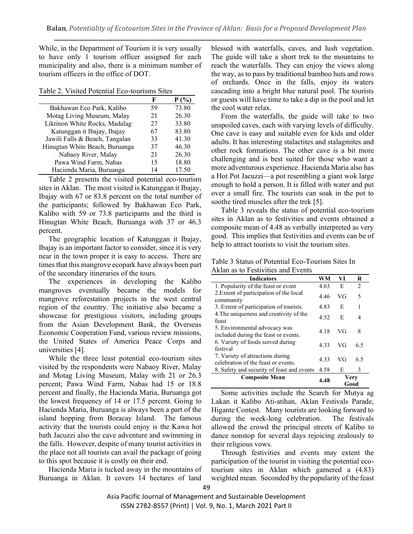While, in the Department of Tourism it is very usually to have only 1 tourism officer assigned for each municipality and also, there is a minimum number of tourism officers in the office of DOT.

Table 2. Visited Potential Eco-tourisms Sites

|                                | Е  | P(%)  |
|--------------------------------|----|-------|
| Bakhawan Eco Park, Kalibo      | 59 | 73.80 |
| Motag Living Museum, Malay     | 21 | 26.30 |
| Liktinon White Rocks, Madalag  | 27 | 33.80 |
| Katunggan it Ibajay, Ibajay    | 67 | 83.80 |
| Jawili Falls & Beach, Tangalan | 33 | 41.30 |
| Hinugtan White Beach, Buruanga | 37 | 46.30 |
| Nabaoy River, Malay            | 21 | 26.30 |
| Pawa Wind Farm, Nabas          | 15 | 18.80 |
| Hacienda Maria, Buruanga       | 14 | 17.50 |

Table 2 presents the visited potential eco-tourism sites in Aklan. The most visited is Katunggan it Ibajay, Ibajay with 67 or 83.8 percent on the total number of the participants; followed by Bakhawan Eco Park, Kalibo with 59 or 73.8 participants and the third is Hinugtan White Beach, Buruanga with 37 or 46.3 percent.

The geographic location of Katunggan it Ibajay, Ibajay is an important factor to consider, since it is very near in the town proper it is easy to access. There are times that this mangrove ecopark have always been part of the secondary itineraries of the tours.

The experiences in developing the Kalibo mangroves eventually became the models for mangrove reforestation projects in the west central region of the country. The initiative also became a showcase for prestigious visitors, including groups from the Asian Development Bank, the Overseas Economic Cooperation Fund, various review missions, the United States of America Peace Corps and universities [4].

While the three least potential eco-tourism sites visited by the respondents were Nabaoy River, Malay and Motag Living Museum, Malay with 21 or 26.3 percent; Pawa Wind Farm, Nabas had 15 or 18.8 percent and finally, the Hacienda Maria, Buruanga got the lowest frequency of 14 or 17.5 percent. Going to Hacienda Maria, Buruanga is always been a part of the island hopping from Boracay Island. The famous activity that the tourists could enjoy is the Kawa hot bath Jacuzzi also the cave adventure and swimming in the falls. However, despite of many tourist activities in the place not all tourists can avail the package of going to this spot because it is costly on their end.

Hacienda Maria is tucked away in the mountains of Buruanga in Aklan. It covers 14 hectares of land blessed with waterfalls, caves, and lush vegetation. The guide will take a short trek to the mountains to reach the waterfalls. They can enjoy the views along the way, as to pass by traditional bamboo huts and rows of orchards. Once in the falls, enjoy its waters cascading into a bright blue natural pool. The tourists or guests will have time to take a dip in the pool and let the cool water relax.

From the waterfalls, the guide will take to two unspoiled caves, each with varying levels of difficulty. One cave is easy and suitable even for kids and older adults. It has interesting stalactites and stalagmites and other rock formations. The other cave is a bit more challenging and is best suited for those who want a more adventurous experience. Hacienda Maria also has a Hot Pot Jacuzzi—a pot resembling a giant wok large enough to hold a person. It is filled with water and put over a small fire. The tourists can soak in the pot to soothe tired muscles after the trek [5].

Table 3 reveals the status of potential eco-tourism sites in Aklan as to festivities and events obtained a composite mean of 4.48 as verbally interpreted as very good. This implies that festivities and events can be of help to attract tourists to visit the tourism sites.

Table 3 Status of Potential Eco-Tourism Sites In Aklan as to Festivities and Events

| <b>Indicators</b>                                                       | WM    | VI | R                  |
|-------------------------------------------------------------------------|-------|----|--------------------|
| 1. Popularity of the feast or event                                     | 4.63  | E  | $\mathfrak{D}_{1}$ |
| 2. Extent of participation of the local<br>community                    | 4.46  | VG | 5                  |
| 3. Extent of participation of tourists.                                 | 483   | E  | 1                  |
| 4. The uniqueness and creativity of the<br>feast                        | 4.52  | E  | 4                  |
| 5. Environmental advocacy was<br>included during the feast or events.   | 4 1 8 | VG | 8                  |
| 6. Variety of foods served during<br>festival                           | 433   | VG | 65                 |
| 7. Variety of attractions during<br>celebration of the feast or events. | 433   | VG | 65                 |
| 8. Safety and security of feast and events                              | 4.58  | E  | 3                  |
| <b>Composite Mean</b>                                                   |       |    | Very<br>Good       |

Some activities include the Search for Mutya ag Lakan it Kalibo Ati-atihan, Aklan Festivals Parade, Higante Contest. Many tourists are looking forward to during the week-long celebration. The festivals allowed the crowd the principal streets of Kalibo to dance nonstop for several days rejoicing zealously to their religious vows.

Through festivities and events may extent the participation of the tourist in visiting the potential ecotourism sites in Aklan which garnered a (4.83) weighted mean. Seconded by the popularity of the feast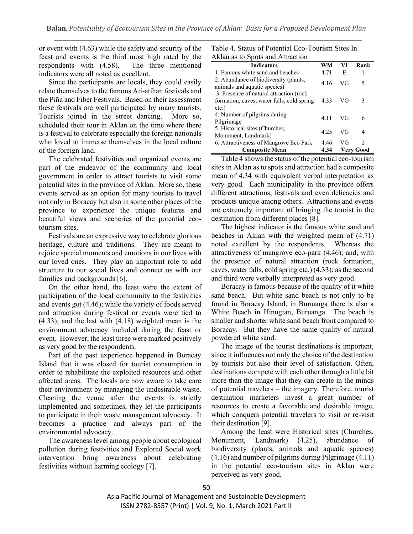or event with (4.63) while the safety and security of the feast and events is the third most high rated by the respondents with (4.58). The three mentioned indicators were all noted as excellent.

Since the participants are locals, they could easily relate themselves to the famous Ati-atihan festivals and the Piña and Fiber Festivals. Based on their assessment these festivals are well participated by many tourists. Tourists joined in the street dancing. More so, scheduled their tour in Aklan on the time where there is a festival to celebrate especially the foreign nationals who loved to immerse themselves in the local culture of the foreign land.

The celebrated festivities and organized events are part of the endeavor of the community and local government in order to attract tourists to visit some potential sites in the province of Aklan. More so, these events served as an option for many tourists to travel not only in Boracay but also in some other places of the province to experience the unique features and beautiful views and sceneries of the potential ecotourism sites.

Festivals are an expressive way to celebrate glorious heritage, culture and traditions. They are meant to rejoice special moments and emotions in our lives with our loved ones. They play an important role to add structure to our social lives and connect us with our families and backgrounds [6].

On the other hand, the least were the extent of participation of the local community to the festivities and events got (4.46); while the variety of foods served and attraction during festival or events were tied to (4.33); and the last with (4.18) weighted mean is the environment advocacy included during the feast or event. However, the least three were marked positively as very good by the respondents.

Part of the past experience happened in Boracay Island that it was closed for tourist consumption in order to rehabilitate the exploited resources and other affected areas. The locals are now aware to take care their environment by managing the undesirable waste. Cleaning the venue after the events is strictly implemented and sometimes, they let the participants to participate in their waste management advocacy. It becomes a practice and always part of the environmental advocacy.

The awareness level among people about ecological pollution during festivities and Explored Social work intervention bring awareness about celebrating festivities without harming ecology [7].

Table 4. Status of Potential Eco-Tourism Sites In Aklan as to Spots and Attraction

| <b>Indicators</b>                                                                                  | WM    | VI | Rank                          |
|----------------------------------------------------------------------------------------------------|-------|----|-------------------------------|
| 1. Famous white sand and beaches                                                                   | 4.71  | E  |                               |
| 2. Abundance of biodiversity (plants,<br>animals and aquatic species)                              | 4.16  | VG | 5                             |
| 3. Presence of natural attraction (rock)<br>formation, caves, water falls, cold spring<br>$etc.$ ) | 4.33  | VG | 3                             |
| 4. Number of pilgrims during<br>Pilgrimage                                                         | 4 1 1 | VG | 6                             |
| 5. Historical sites (Churches,<br>Monument, Landmark)                                              | 4.25  | VG | 4                             |
| 6. Attractiveness of Mangrove Eco Park                                                             | 4.46  | VG | $\mathfrak{D}_{\mathfrak{p}}$ |
| <b>Composite Mean</b>                                                                              | 4.34  |    | Verv Good                     |

Table 4 shows the status of the potential eco-tourism sites in Aklan as to spots and attraction had a composite mean of 4.34 with equivalent verbal interpretation as very good. Each municipality in the province offers different attractions, festivals and even delicacies and products unique among others. Attractions and events are extremely important of bringing the tourist in the destination from different places [8].

The highest indicator is the famous white sand and beaches in Aklan with the weighted mean of (4.71) noted excellent by the respondents. Whereas the attractiveness of mangrove eco-park (4.46); and, with the presence of natural attraction (rock formation, caves, water falls, cold spring etc.) (4.33); as the second and third were verbally interpreted as very good.

Boracay is famous because of the quality of it white sand beach. But white sand beach is not only to be found in Boracay Island, in Buruanga there is also a White Beach in Hinugtan, Buruanga. The beach is smaller and shorter white sand beach front compared to Boracay. But they have the same quality of natural powdered white sand.

The image of the tourist destinations is important, since it influences not only the choice of the destination by tourists but also their level of satisfaction. Often, destinations compete with each other through a little bit more than the image that they can create in the minds of potential travelers – the imagery. Therefore, tourist destination marketers invest a great number of resources to create a favorable and desirable image, which conquers potential travelers to visit or re-visit their destination [9].

Among the least were Historical sites (Churches, Monument, Landmark) (4.25), abundance of biodiversity (plants, animals and aquatic species) (4.16) and number of pilgrims during Pilgrimage (4.11) in the potential eco-tourism sites in Aklan were perceived as very good.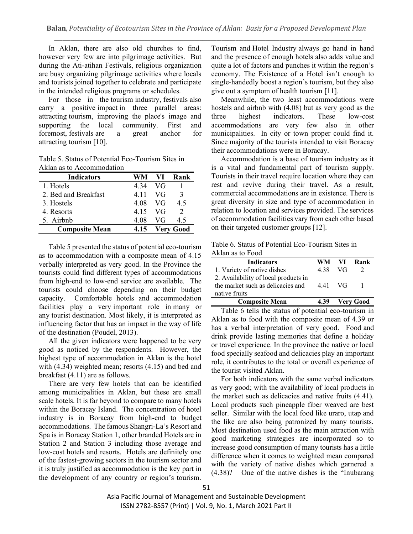In Aklan, there are also old churches to find, however very few are into pilgrimage activities. But during the Ati-atihan Festivals, religious organization are busy organizing pilgrimage activities where locals and tourists joined together to celebrate and participate in the intended religious programs or schedules.

For those in the tourism industry, festivals also carry a positive impact in three parallel areas: attracting tourism, improving the place's image and supporting the local community. First and foremost, festivals are a great anchor for attracting tourism [10].

Table 5. Status of Potential Eco-Tourism Sites in Aklan as to Accommodation

| <b>Indicators</b>     | WM.   | VI.              | Rank          |
|-----------------------|-------|------------------|---------------|
| 1. Hotels             | 4 34  | VG               |               |
| 2. Bed and Breakfast  | 411   | VG               |               |
| 3. Hostels            | 4.08  | VG               | 4.5           |
| 4. Resorts            | 4 1 5 | VG               | $\mathcal{D}$ |
| 5. Airbnb             | 4.08  | VG               | 4.5           |
| <b>Composite Mean</b> | 4.15  | <b>Very Good</b> |               |

Table 5 presented the status of potential eco-tourism as to accommodation with a composite mean of 4.15 verbally interpreted as very good. In the Province the tourists could find different types of accommodations from high-end to low-end service are available. The tourists could choose depending on their budget capacity. Comfortable hotels and accommodation facilities play a very important role in many or any tourist destination. Most likely, it is interpreted as influencing factor that has an impact in the way of life of the destination (Poudel, 2013).

All the given indicators were happened to be very good as noticed by the respondents. However, the highest type of accommodation in Aklan is the hotel with (4.34) weighted mean; resorts (4.15) and bed and breakfast (4.11) are as follows.

There are very few hotels that can be identified among municipalities in Aklan, but these are small scale hotels. It is far beyond to compare to many hotels within the Boracay Island. The concentration of hotel industry is in Boracay from high-end to budget accommodations. The famous Shangri-La's Resort and Spa is in Boracay Station 1, other branded Hotels are in Station 2 and Station 3 including those average and low-cost hotels and resorts. Hotels are definitely one of the fastest-growing sectors in the tourism sector and it is truly justified as accommodation is the key part in the development of any country or region's tourism.

Tourism and [Hotel Industry](https://chashotels.in/siliguri/hotels.php) always go hand in hand and the presence of enough hotels also adds value and quite a lot of factors and punches it within the region's economy. The Existence of a Hotel isn't enough to single-handedly boost a region's tourism, but they also give out a symptom of health tourism [11].

Meanwhile, the two least accommodations were hostels and airbnb with (4.08) but as very good as the three highest indicators. These low-cost accommodations are very few also in other municipalities. In city or town proper could find it. Since majority of the tourists intended to visit Boracay their accommodations were in Boracay.

Accommodation is a base of tourism industry as it is a vital and fundamental part of tourism supply. Tourists in their travel require location where they can rest and revive during their travel. As a result, commercial accommodations are in existence. There is great diversity in size and type of accommodation in relation to location and services provided. The services of accommodation facilities vary from each other based on their targeted customer groups [12].

Table 6. Status of Potential Eco-Tourism Sites in Aklan as to Food

| <b>Indicators</b>                    | WM .   | -VI | Rank             |
|--------------------------------------|--------|-----|------------------|
| 1. Variety of native dishes          | 438 VG |     |                  |
| 2. Availability of local products in |        |     |                  |
| the market such as delicacies and    | 441 VG |     |                  |
| native fruits                        |        |     |                  |
| <b>Composite Mean</b>                | 4.39   |     | <b>Very Good</b> |

Table 6 tells the status of potential eco-tourism in Aklan as to food with the composite mean of 4.39 or has a verbal interpretation of very good. Food and drink provide lasting memories that define a holiday or travel experience. In the province the native or local food specially seafood and delicacies play an important role, it contributes to the total or overall experience of the tourist visited Aklan.

For both indicators with the same verbal indicators as very good; with the availability of local products in the market such as delicacies and native fruits (4.41). Local products such pineapple fiber weaved are best seller. Similar with the local food like uraro, utap and the like are also being patronized by many tourists. Most destination used food as the main attraction with good marketing strategies are incorporated so to increase good consumption of many tourists has a little difference when it comes to weighted mean compared with the variety of native dishes which garnered a (4.38)? One of the native dishes is the "Inubarang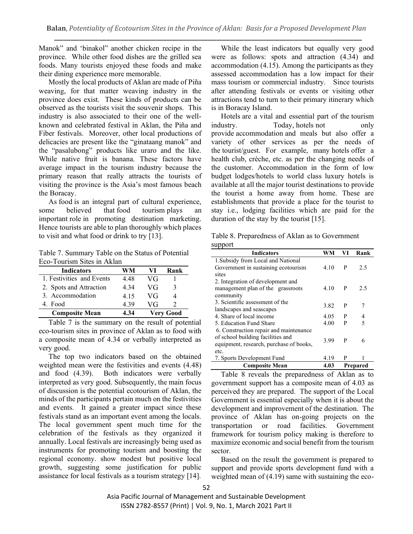Manok" and 'binakol" another chicken recipe in the province. While other food dishes are the grilled sea foods. Many tourists enjoyed these foods and make their dining experience more memorable.

Mostly the local products of Aklan are made of Piña weaving, for that matter weaving industry in the province does exist. These kinds of products can be observed as the tourists visit the souvenir shops. This industry is also associated to their one of the wellknown and celebrated festival in Aklan, the Piña and Fiber festivals. Moreover, other local productions of delicacies are present like the "ginataang manok" and the "pasalubong" products like uraro and the like. While native fruit is banana. These factors have average impact in the tourism industry because the primary reason that really attracts the tourists of visiting the province is the Asia's most famous beach the Boracay.

As food is an integral part of cultural experience, some believed that food tourism plays an important role in promoting destination marketing. Hence tourists are able to plan thoroughly which places to visit and what food or drink to try [13].

Table 7. Summary Table on the Status of Potential Eco-Tourism Sites in Aklan

| <b>Indicators</b>         | WM    | VI               | Rank |
|---------------------------|-------|------------------|------|
| 1. Festivities and Events | 4 48  | VG               |      |
| 2. Spots and Attraction   | 4 34  | VG               | 3    |
| 3. Accommodation          | 4 1 5 | VG               |      |
| 4. Food                   | 4 39  | VG               |      |
| <b>Composite Mean</b>     | 4.34  | <b>Very Good</b> |      |

Table 7 is the summary on the result of potential eco-tourism sites in province of Aklan as to food with a composite mean of 4.34 or verbally interpreted as very good.

The top two indicators based on the obtained weighted mean were the festivities and events (4.48) and food (4.39). Both indicators were verbally interpreted as very good. Subsequently, the main focus of discussion is the potential ecotourism of Aklan, the minds of the participants pertain much on the festivities and events. It gained a greater impact since these festivals stand as an important event among the locals. The local government spent much time for the celebration of the festivals as they organized it annually. Local festivals are increasingly being used as instruments for promoting tourism and boosting the regional economy. show modest but positive local growth, suggesting some justification for public assistance for local festivals as a tourism strategy [14].

While the least indicators but equally very good were as follows: spots and attraction (4.34) and accommodation (4.15). Among the participants as they assessed accommodation has a low impact for their mass tourism or commercial industry. Since tourists after attending festivals or events or visiting other attractions tend to turn to their primary itinerary which is in Boracay Island.

Hotels are a vital and essential part of the tourism industry. Today, hotels not only provide accommodation and meals but also offer a variety of other services as per the needs of the tourist/guest. For example, many hotels offer a health club, crèche, etc. as per the changing needs of the customer. Accommodation in the form of low budget lodges/hotels to world class luxury hotels is available at all the major tourist destinations to provide the tourist a home away from home. These are establishments that provide a place for the tourist to stay i.e., lodging facilities which are paid for the duration of the stay by the tourist [15].

Table 8. Preparedness of Aklan as to Government support

| WM    |              | Rank     |
|-------|--------------|----------|
|       |              |          |
| 4 1 0 | P            | 2.5      |
|       |              |          |
|       |              |          |
| 4 1 0 | P            | 2.5      |
|       |              |          |
|       |              | 7        |
|       |              |          |
| 4.05  | P            | 4        |
| 4.00  | P            | 5        |
|       |              |          |
|       |              | 6        |
|       |              |          |
|       |              |          |
| 4.19  | P            |          |
| 4.03  |              | Prepared |
|       | 3.82<br>3.99 | P<br>P   |

Table 8 reveals the preparedness of Aklan as to government support has a composite mean of 4.03 as perceived they are prepared. The support of the Local Government is essential especially when it is about the development and improvement of the destination. The province of Aklan has on-going projects on the transportation or road facilities. Government framework for tourism policy making is therefore to maximize economic and social benefit from the tourism sector.

Based on the result the government is prepared to support and provide sports development fund with a weighted mean of (4.19) same with sustaining the eco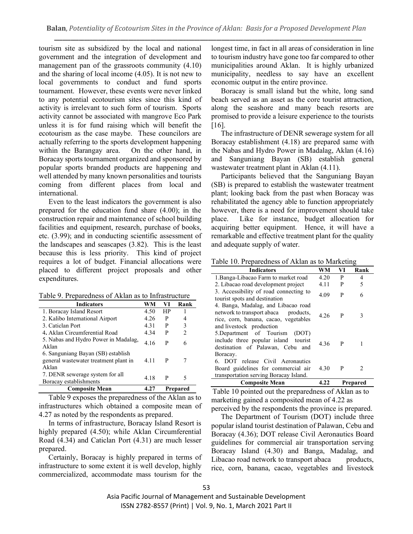tourism site as subsidized by the local and national government and the integration of development and management pan of the grassroots community (4.10) and the sharing of local income (4.05). It is not new to local governments to conduct and fund sports tournament. However, these events were never linked to any potential ecotourism sites since this kind of activity is irrelevant to such form of tourism. Sports activity cannot be associated with mangrove Eco Park unless it is for fund raising which will benefit the ecotourism as the case maybe. These councilors are actually referring to the sports development happening within the Barangay area. On the other hand, in Boracay sports tournament organized and sponsored by popular sports branded products are happening and well attended by many known personalities and tourists coming from different places from local and international.

Even to the least indicators the government is also prepared for the education fund share (4.00); in the construction repair and maintenance of school building facilities and equipment, research, purchase of books, etc. (3.99); and in conducting scientific assessment of the landscapes and seascapes (3.82). This is the least because this is less priority. This kind of project requires a lot of budget. Financial allocations were placed to different project proposals and other expenditures.

Table 9. Preparedness of Aklan as to Infrastructure

| <b>Indicators</b>                                                                    | WM    | VI | Rank                          |
|--------------------------------------------------------------------------------------|-------|----|-------------------------------|
| 1. Boracay Island Resort                                                             | 4.50  | HP |                               |
| 2. Kalibo International Airport                                                      | 4.26  | P  | 4                             |
| 3 Caticlan Port                                                                      | 4.31  | P  | 3                             |
| 4. Aklan Circumferential Road                                                        | 4.34  | P  | $\mathfrak{D}_{\mathfrak{p}}$ |
| 5. Nabas and Hydro Power in Madalag,<br>Aklan                                        | 4.16  | P  | 6                             |
| 6. Sanguniang Bayan (SB) establish<br>general wastewater treatment plant in<br>Aklan | 4.11  | P  | 7                             |
| 7. DENR sewerage system for all<br>Boracay establishments                            | 4 1 8 | P  | 5                             |
| <b>Composite Mean</b>                                                                | 4.27  |    | Prepared                      |

Table 9 exposes the preparedness of the Aklan as to infrastructures which obtained a composite mean of 4.27 as noted by the respondents as prepared.

In terms of infrastructure, Boracay Island Resort is highly prepared (4.50); while Aklan Circumferential Road (4.34) and Caticlan Port (4.31) are much lesser prepared.

Certainly, Boracay is highly prepared in terms of infrastructure to some extent it is well develop, highly commercialized, accommodate mass tourism for the longest time, in fact in all areas of consideration in line to tourism industry have gone too far compared to other municipalities around Aklan. It is highly urbanized municipality, needless to say have an excellent economic output in the entire province.

Boracay is small island but the white, long sand beach served as an asset as the core tourist attraction, along the seashore and many beach resorts are promised to provide a leisure experience to the tourists [16].

The infrastructure of DENR sewerage system for all Boracay establishment (4.18) are prepared same with the Nabas and Hydro Power in Madalag, Aklan (4.16) and Sanguniang Bayan (SB) establish general wastewater treatment plant in Aklan (4.11).

Participants believed that the Sanguniang Bayan (SB) is prepared to establish the wastewater treatment plant; looking back from the past when Boracay was rehabilitated the agency able to function appropriately however, there is a need for improvement should take place. Like for instance, budget allocation for acquiring better equipment. Hence, it will have a remarkable and effective treatment plant for the quality and adequate supply of water.

| Table 10. Preparedness of Aklan as to Marketing |  |  |  |  |
|-------------------------------------------------|--|--|--|--|
|-------------------------------------------------|--|--|--|--|

| <b>Indicators</b>                                                                                                                                | WM    | VI | Rank            |
|--------------------------------------------------------------------------------------------------------------------------------------------------|-------|----|-----------------|
| 1. Banga-Libacao Farm to market road                                                                                                             | 4.20  | P  | 4               |
| 2. Libacao road development project                                                                                                              | 4.11  | P  | 5               |
| 3. Accessibility of road connecting to<br>tourist spots and destination                                                                          | 4.09  | P  | 6               |
| 4. Banga, Madalag, and Libacao road<br>network to transport abaca products,<br>rice, corn, banana, cacao, vegetables<br>and livestock production | 4 2 6 | P  | 3               |
| 5. Department of Tourism (DOT)<br>include three popular island tourist<br>destination of Palawan, Cebu and<br>Boracay.                           | 4 3 6 | P  |                 |
| 6. DOT release Civil Aeronautics<br>Board guidelines for commercial air<br>transportation serving Boracay Island.                                | 4.30  | P  | 2               |
| <b>Composite Mean</b>                                                                                                                            | 4.22  |    | <b>Prepared</b> |

Table 10 pointed out the preparedness of Aklan as to marketing gained a composited mean of 4.22 as perceived by the respondents the province is prepared.

The Department of Tourism (DOT) include three popular island tourist destination of Palawan, Cebu and Boracay (4.36); DOT release Civil Aeronautics Board guidelines for commercial air transportation serving Boracay Island (4.30) and Banga, Madalag, and Libacao road network to transport abaca products, rice, corn, banana, cacao, vegetables and livestock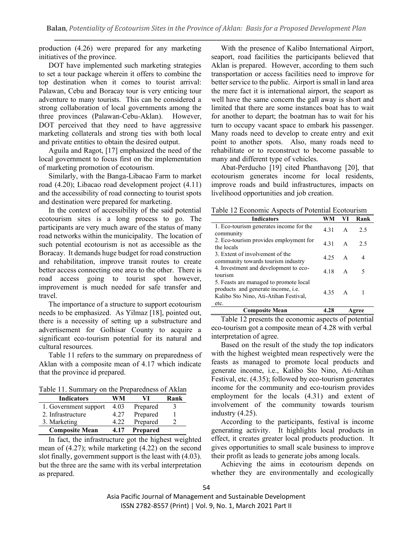production (4.26) were prepared for any marketing initiatives of the province.

DOT have implemented such marketing strategies to set a tour package wherein it offers to combine the top destination when it comes to tourist arrival: Palawan, Cebu and Boracay tour is very enticing tour adventure to many tourists. This can be considered a strong collaboration of local governments among the three provinces (Palawan-Cebu-Aklan). However, DOT perceived that they need to have aggressive marketing collaterals and strong ties with both local and private entities to obtain the desired output.

Aguila and Ragot, [17] emphasized the need of the local government to focus first on the implementation of marketing promotion of ecotourism.

Similarly, with the Banga-Libacao Farm to market road (4.20); Libacao road development project (4.11) and the accessibility of road connecting to tourist spots and destination were prepared for marketing.

In the context of accessibility of the said potential ecotourism sites is a long process to go. The participants are very much aware of the status of many road networks within the municipality. The location of such potential ecotourism is not as accessible as the Boracay. It demands huge budget for road construction and rehabilitation, improve transit routes to create better access connecting one area to the other. There is road access going to tourist spot however, improvement is much needed for safe transfer and travel.

The importance of a structure to support ecotourism needs to be emphasized. As Yilmaz [18], pointed out, there is a necessity of setting up a substructure and advertisement for Golhisar County to acquire a significant eco-tourism potential for its natural and cultural resources.

Table 11 refers to the summary on preparedness of Aklan with a composite mean of 4.17 which indicate that the province id prepared.

Table 11. Summary on the Preparedness of Aklan

| <b>Indicators</b>     | WM   |                 | Rank |
|-----------------------|------|-----------------|------|
| 1. Government support | 4.03 | Prepared        |      |
| 2. Infrastructure     | 4.27 | Prepared        |      |
| 3. Marketing          | 4 22 | Prepared        |      |
| <b>Composite Mean</b> | 4.17 | <b>Prepared</b> |      |

In fact, the infrastructure got the highest weighted mean of (4.27); while marketing (4.22) on the second slot finally, government support is the least with (4.03). but the three are the same with its verbal interpretation as prepared.

With the presence of Kalibo International Airport, seaport, road facilities the participants believed that Aklan is prepared. However, according to them such transportation or access facilities need to improve for better service to the public. Airport is small in land area the mere fact it is international airport, the seaport as well have the same concern the gall away is short and limited that there are some instances boat has to wait for another to depart; the boatman has to wait for his turn to occupy vacant space to embark his passenger. Many roads need to develop to create entry and exit point to another spots. Also, many roads need to rehabilitate or to reconstruct to become passable to many and different type of vehicles.

Abat-Perducho [19] cited Phanthavong [20], that ecotourism generates income for local residents, improve roads and build infrastructures, impacts on livelihood opportunities and job creation.

Table 12 Economic Aspects of Potential Ecotourism

| <b>Indicators</b>                                                                                                     | WM    | VI           | Rank  |
|-----------------------------------------------------------------------------------------------------------------------|-------|--------------|-------|
| 1. Eco-tourism generates income for the<br>community                                                                  | 431   | $\mathsf{A}$ | 2.5   |
| 2. Eco-tourism provides employment for<br>the locals                                                                  | 431   | $\mathbf{A}$ | 2.5   |
| 3. Extent of involvement of the<br>community towards tourism industry                                                 | 4 25  | A            | 4     |
| 4. Investment and development to eco-<br>tourism                                                                      | 4 1 8 | A            | 5     |
| 5. Feasts are managed to promote local<br>products and generate income, i.e.<br>Kalibo Sto Nino, Ati-Atihan Festival, | 435   | A            |       |
| etc.<br><b>Composite Mean</b>                                                                                         | 4.28  |              | Agree |

Table 12 presents the economic aspects of potential eco-tourism got a composite mean of 4.28 with verbal interpretation of agree.

Based on the result of the study the top indicators with the highest weighted mean respectively were the feasts as managed to promote local products and generate income, i.e., Kalibo Sto Nino, Ati-Atihan Festival, etc. (4.35); followed by eco-tourism generates income for the community and eco-tourism provides employment for the locals (4.31) and extent of involvement of the community towards tourism industry (4.25).

According to the participants, festival is income generating activity. It highlights local products in effect, it creates greater local products production. It gives opportunities to small scale business to improve their profit as leads to generate jobs among locals.

Achieving the aims in ecotourism depends on whether they are environmentally and ecologically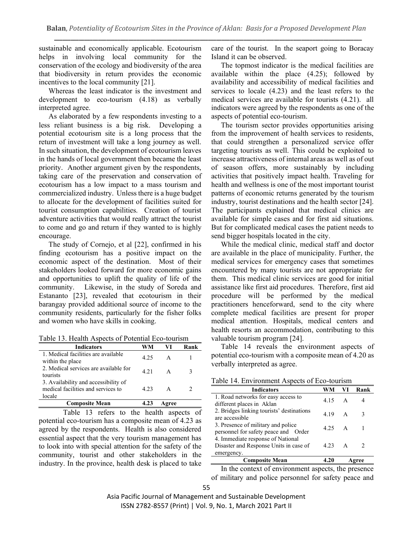sustainable and economically applicable. Ecotourism helps in involving local community for the conservation of the ecology and biodiversity of the area that biodiversity in return provides the economic incentives to the local community [21].

Whereas the least indicator is the investment and development to eco-tourism (4.18) as verbally interpreted agree.

As elaborated by a few respondents investing to a less reliant business is a big risk. Developing a potential ecotourism site is a long process that the return of investment will take a long journey as well. In such situation, the development of ecotourism leaves in the hands of local government then became the least priority. Another argument given by the respondents, taking care of the preservation and conservation of ecotourism has a low impact to a mass tourism and commercialized industry. Unless there is a huge budget to allocate for the development of facilities suited for tourist consumption capabilities. Creation of tourist adventure activities that would really attract the tourist to come and go and return if they wanted to is highly encourage.

The study of Cornejo, et al [22], confirmed in his finding ecotourism has a positive impact on the economic aspect of the destination. Most of their stakeholders looked forward for more economic gains and opportunities to uplift the quality of life of the community. Likewise, in the study of Soreda and Estananto [23], revealed that ecotourism in their barangay provided additional source of income to the community residents, particularly for the fisher folks and women who have skills in cooking.

Table 13. Health Aspects of Potential Eco-tourism

| <b>Indicators</b>                                                                    | WM   | VI           | Rank |
|--------------------------------------------------------------------------------------|------|--------------|------|
| 1. Medical facilities are available<br>within the place                              | 4 25 | A            |      |
| 2. Medical services are available for<br>tourists                                    | 4.21 | A            |      |
| 3. Availability and accessibility of<br>medical facilities and services to<br>locale | 4.23 | A            |      |
| <b>Composite Mean</b>                                                                |      | <b>\gree</b> |      |

Table 13 refers to the health aspects of potential eco-tourism has a composite mean of 4.23 as agreed by the respondents. Health is also considered essential aspect that the very tourism management has to look into with special attention for the safety of the community, tourist and other stakeholders in the industry. In the province, health desk is placed to take

care of the tourist. In the seaport going to Boracay Island it can be observed.

The topmost indicator is the medical facilities are available within the place (4.25); followed by availability and accessibility of medical facilities and services to locale (4.23) and the least refers to the medical services are available for tourists (4.21). all indicators were agreed by the respondents as one of the aspects of potential eco-tourism.

The tourism sector provides opportunities arising from the improvement of health services to residents, that could strengthen a personalized service offer targeting tourists as well. This could be exploited to increase attractiveness of internal areas as well as of out of season offers, more sustainably by including activities that positively impact health. Traveling for health and wellness is one of the most important tourist patterns of economic returns generated by the tourism industry, tourist destinations and the health sector [24]. The participants explained that medical clinics are available for simple cases and for first aid situations. But for complicated medical cases the patient needs to send bigger hospitals located in the city.

While the medical clinic, medical staff and doctor are available in the place of municipality. Further, the medical services for emergency cases that sometimes encountered by many tourists are not appropriate for them. This medical clinic services are good for initial assistance like first aid procedures. Therefore, first aid procedure will be performed by the medical practitioners henceforward, send to the city where complete medical facilities are present for proper medical attention. Hospitals, medical centers and health resorts an accommodation, contributing to this valuable tourism program [24].

Table 14 reveals the environment aspects of potential eco-tourism with a composite mean of 4.20 as verbally interpreted as agree.

| Table 14. Environment Aspects of Eco-tourism |  |
|----------------------------------------------|--|
|----------------------------------------------|--|

| <b>Indicators</b>                         |       | VI       | Rank |
|-------------------------------------------|-------|----------|------|
| 1. Road networks for easy access to       | 4 1 5 | A        |      |
| different places in Aklan                 |       |          |      |
| 2. Bridges linking tourists' destinations | 4 1 9 | $\Delta$ | 3    |
| are accessible                            |       |          |      |
| 3. Presence of military and police        | 425 A |          |      |
| personnel for safety peace and Order      |       |          |      |
| 4. Immediate response of National         |       |          |      |
| Disaster and Response Units in case of    | 423   | A        |      |
| emergency.                                |       |          |      |
| <b>Composite Mean</b>                     |       |          | gree |

In the context of environment aspects, the presence of military and police personnel for safety peace and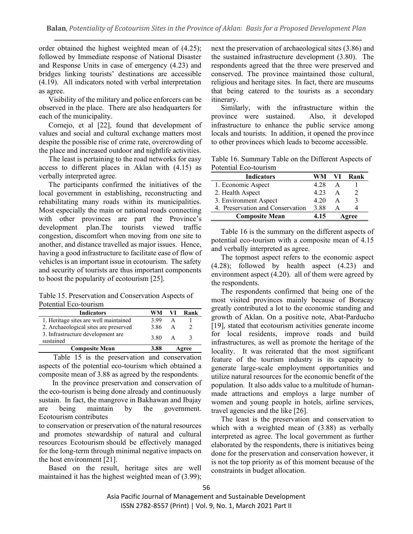order obtained the highest weighted mean of (4.25); followed by Immediate response of National Disaster and Response Units in case of emergency (4.23) and bridges linking tourists' destinations are accessible (4.19). All indicators noted with verbal interpretation as agree.

Visibility of the military and police enforcers can be observed in the place. There are also headquarters for each of the municipality.

Cornejo, et al [22], found that development of values and social and cultural exchange matters most despite the possible rise of crime rate, overcrowding of the place and increased outdoor and nightlife activities.

The least is pertaining to the road networks for easy access to different places in Aklan with (4.15) as verbally interpreted agree.

The participants confirmed the initiatives of the local government in establishing, reconstructing and rehabilitating many roads within its municipalities. Most especially the main or national roads connecting with other provinces are part the Province's development plan.The tourists viewed traffic congestion, discomfort when moving from one site to another, and distance travelled as major issues. Hence, having a good infrastructure to facilitate ease of flow of vehicles is an important issue in ecotourism. The safety and security of tourists are thus important components to boost the popularity of ecotourism [25].

Table 15. Preservation and Conservation Aspects of Potential Eco-tourism

| <b>Indicators</b>                              | WМ   |   | Rank  |
|------------------------------------------------|------|---|-------|
| 1. Heritage sites are well maintained          | 3.99 | А |       |
| 2. Archaeological sites are preserved          | 3.86 | A |       |
| 3. Infrastructure development are<br>sustained | 3.80 | A |       |
| <b>Composite Mean</b>                          | 3.88 |   | Agree |
| Table 15 is the preservation and conservation  |      |   |       |

Table 15 is the preservation and conservation aspects of the potential eco-tourism which obtained a composite mean of 3.88 as agreed by the respondents.

 In the province preservation and conservation of the eco-tourism is being done already and continuously sustain. In fact, the mangrove in Bakhawan and Ibajay are being maintain by the government. Ecotourism contributes

to conservation or preservation of the natural resources and promotes stewardship of natural and cultural resources Ecotourism should be effectively managed for the long-term through minimal negative impacts on the host environment [21].

Based on the result, heritage sites are well maintained it has the highest weighted mean of (3.99); next the preservation of archaeological sites (3.86) and the sustained infrastructure development (3.80). The respondents agreed that the three were preserved and conserved. The province maintained those cultural, religious and heritage sites. In fact, there are museums that being catered to the tourists as a secondary itinerary.

Similarly, with the infrastructure within the province were sustained. Also, it developed infrastructure to enhance the public service among locals and tourists. In addition, it opened the province to other provinces which leads to become accessible.

Table 16. Summary Table on the Different Aspects of Potential Eco-tourism

| <b>Indicators</b>                | WМ    | VI | Rank  |
|----------------------------------|-------|----|-------|
| 1. Economic Aspect               | 4 2 8 |    |       |
| 2. Health Aspect                 | 4 2 3 | A  |       |
| 3. Environment Aspect            | 4 20  | A  |       |
| 4. Preservation and Conservation | 3.88  |    |       |
| <b>Composite Mean</b>            | 4.15  |    | Agree |

Table 16 is the summary on the different aspects of potential eco-tourism with a composite mean of 4.15 and verbally interpreted as agree.

The topmost aspect refers to the economic aspect (4.28); followed by health aspect (4.23) and environment aspect (4.20). all of them were agreed by the respondents.

The respondents confirmed that being one of the most visited provinces mainly because of Boracay greatly contributed a lot to the economic standing and growth of Aklan. On a positive note, Abat-Parducho [19], stated that ecotourism activities generate income for local residents, improve roads and build infrastructures, as well as promote the heritage of the locality. It was reiterated that the most significant feature of the tourism industry is its capacity to generate large-scale employment opportunities and utilize natural resources for the economic benefit of the population. It also adds value to a multitude of humanmade attractions and employs a large number of women and young people in hotels, airline services, travel agencies and the like [26].

The least is the preservation and conservation to which with a weighted mean of (3.88) as verbally interpreted as agree. The local government as further elaborated by the respondents, there is initiatives being done for the preservation and conservation however, it is not the top priority as of this moment because of the constraints in budget allocation.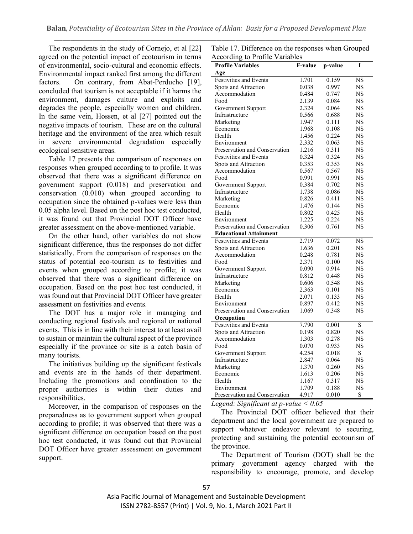The respondents in the study of Cornejo, et al [22] agreed on the potential impact of ecotourism in terms of environmental, socio-cultural and economic effects. Environmental impact ranked first among the different factors. On contrary, from Abat-Perducho [19], concluded that tourism is not acceptable if it harms the environment, damages culture and exploits and degrades the people, especially women and children. In the same vein, Hossen, et al [27] pointed out the negative impacts of tourism. These are on the cultural heritage and the environment of the area which result in severe environmental degradation especially ecological sensitive areas.

Table 17 presents the comparison of responses on responses when grouped according to to profile. It was observed that there was a significant difference on government support (0.018) and preservation and conservation (0.010) when grouped according to occupation since the obtained p-values were less than 0.05 alpha level. Based on the post hoc test conducted, it was found out that Provincial DOT Officer have greater assessment on the above-mentioned variable.

On the other hand, other variables do not show significant difference, thus the responses do not differ statistically. From the comparison of responses on the status of potential eco-tourism as to festivities and events when grouped according to profile; it was observed that there was a significant difference on occupation. Based on the post hoc test conducted, it was found out that Provincial DOT Officer have greater assessment on festivities and events.

The DOT has a major role in managing and conducting regional festivals and regional or national events. This is in line with their interest to at least avail to sustain or maintain the cultural aspect of the province especially if the province or site is a catch basin of many tourists.

The initiatives building up the significant festivals and events are in the hands of their department. Including the promotions and coordination to the proper authorities is within their duties and responsibilities.

Moreover, in the comparison of responses on the preparedness as to government support when grouped according to profile; it was observed that there was a significant difference on occupation based on the post hoc test conducted, it was found out that Provincial DOT Officer have greater assessment on government support.

| Table 17. Difference on the responses when Grouped |  |
|----------------------------------------------------|--|
| <b>According to Profile Variables</b>              |  |

| $\mu$ recording to 1 forme<br><b>Profile Variables</b> | <b>F-value</b> | p-value        | I         |
|--------------------------------------------------------|----------------|----------------|-----------|
| Age                                                    |                |                |           |
| <b>Festivities and Events</b>                          | 1.701          | 0.159          | <b>NS</b> |
| Spots and Attraction                                   | 0.038          | 0.997          | NS        |
| Accommodation                                          | 0.484          | 0.747          | NS        |
| Food                                                   | 2.139          | 0.084          | <b>NS</b> |
| Government Support                                     | 2.324          | 0.064          | <b>NS</b> |
| Infrastructure                                         | 0.566          | 0.688          | <b>NS</b> |
| Marketing                                              | 1.947          | 0.111          | <b>NS</b> |
| Economic                                               | 1.968          | 0.108          | NS        |
| Health                                                 | 1.456          | 0.224          | <b>NS</b> |
| Environment                                            | 2.332          | 0.063          | NS        |
| Preservation and Conservation                          | 1.216          | 0.311          | <b>NS</b> |
| <b>Festivities and Events</b>                          | 0.324          | 0.324          | <b>NS</b> |
|                                                        |                |                | <b>NS</b> |
| Spots and Attraction<br>Accommodation                  | 0.353<br>0.567 | 0.353<br>0.567 | NS        |
|                                                        |                |                |           |
| Food                                                   | 0.991          | 0.991          | <b>NS</b> |
| Government Support                                     | 0.384          | 0.702          | <b>NS</b> |
| Infrastructure                                         | 1.738          | 0.086          | <b>NS</b> |
| Marketing                                              | 0.826          | 0.411          | <b>NS</b> |
| Economic                                               | 1.476          | 0.144          | <b>NS</b> |
| Health                                                 | 0.802          | 0.425          | <b>NS</b> |
| Environment                                            | 1.225          | 0.224          | <b>NS</b> |
| Preservation and Conservation                          | 0.306          | 0.761          | <b>NS</b> |
| <b>Educational Attainment</b>                          |                |                |           |
| <b>Festivities and Events</b>                          | 2.719          | 0.072          | <b>NS</b> |
| Spots and Attraction                                   | 1.636          | 0.201          | <b>NS</b> |
| Accommodation                                          | 0.248          | 0.781          | <b>NS</b> |
| Food                                                   | 2.371          | 0.100          | <b>NS</b> |
| Government Support                                     | 0.090          | 0.914          | <b>NS</b> |
| Infrastructure                                         | 0.812          | 0.448          | <b>NS</b> |
| Marketing                                              | 0.606          | 0.548          | NS        |
| Economic                                               | 2.363          | 0.101          | <b>NS</b> |
| Health                                                 | 2.071          | 0.133          | NS        |
| Environment                                            | 0.897          | 0.412          | <b>NS</b> |
| Preservation and Conservation                          | 1.069          | 0.348          | NS        |
| Occupation                                             |                |                |           |
| Festivities and Events                                 | 7.790          | 0.001          | S         |
| Spots and Attraction                                   | 0.198          | 0.820          | NS        |
| Accommodation                                          | 1.303          | 0.278          | NS        |
| Food                                                   | 0.070          | 0.933          | NS        |
| Government Support                                     | 4.254          | 0.018          | S         |
| Infrastructure                                         | 2.847          | 0.064          | <b>NS</b> |
| Marketing                                              | 1.370          | 0.260          | NS        |
| Economic                                               | 1.613          | 0.206          | NS        |
| Health                                                 | 1.167          | 0.317          | <b>NS</b> |
| Environment                                            | 1.709          | 0.188          | NS        |
| Preservation and Conservation                          | 4.917          | 0.010          | S         |

*Legend: Significant at p-value < 0.05*

The Provincial DOT officer believed that their department and the local government are prepared to support whatever endeavor relevant to securing, protecting and sustaining the potential ecotourism of the province.

The Department of Tourism (DOT) shall be the primary government agency charged with the responsibility to encourage, promote, and develop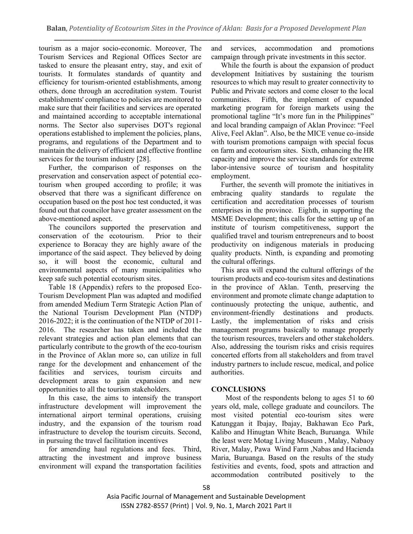tourism as a major socio-economic. Moreover, The Tourism Services and Regional Offices Sector are tasked to ensure the pleasant entry, stay, and exit of tourists. It formulates standards of quantity and efficiency for tourism-oriented establishments, among others, done through an accreditation system. Tourist establishments' compliance to policies are monitored to make sure that their facilities and services are operated and maintained according to acceptable international norms. The Sector also supervises DOT's regional operations established to implement the policies, plans, programs, and regulations of the Department and to maintain the delivery of efficient and effective frontline services for the tourism industry [28].

Further, the comparison of responses on the preservation and conservation aspect of potential ecotourism when grouped according to profile; it was observed that there was a significant difference on occupation based on the post hoc test conducted, it was found out that councilor have greater assessment on the above-mentioned aspect.

The councilors supported the preservation and conservation of the ecotourism. Prior to their experience to Boracay they are highly aware of the importance of the said aspect. They believed by doing so, it will boost the economic, cultural and environmental aspects of many municipalities who keep safe such potential ecotourism sites.

Table 18 (Appendix) refers to the proposed Eco-Tourism Development Plan was adapted and modified from amended Medium Term Strategic Action Plan of the National Tourism Development Plan (NTDP) 2016-2022; it is the continuation of the NTDP of 2011- 2016. The researcher has taken and included the relevant strategies and action plan elements that can particularly contribute to the growth of the eco-tourism in the Province of Aklan more so, can utilize in full range for the development and enhancement of the facilities and services, tourism circuits and development areas to gain expansion and new opportunities to all the tourism stakeholders.

In this case, the aims to intensify the transport infrastructure development will improvement the international airport terminal operations, cruising industry, and the expansion of the tourism road infrastructure to develop the tourism circuits. Second, in pursuing the travel facilitation incentives

for amending haul regulations and fees. Third, attracting the investment and improve business environment will expand the transportation facilities and services, accommodation and promotions campaign through private investments in this sector.

While the fourth is about the expansion of product development Initiatives by sustaining the tourism resources to which may result to greater connectivity to Public and Private sectors and come closer to the local communities. Fifth, the implement of expanded marketing program for foreign markets using the promotional tagline "It's more fun in the Philippines" and local branding campaign of Aklan Province: "Feel Alive, Feel Aklan". Also, be the MICE venue co-inside with tourism promotions campaign with special focus on farm and ecotourism sites. Sixth, enhancing the HR capacity and improve the service standards for extreme labor-intensive source of tourism and hospitality employment.

Further, the seventh will promote the initiatives in embracing quality standards to regulate the certification and accreditation processes of tourism enterprises in the province. Eighth, in supporting the MSME Development; this calls for the setting up of an institute of tourism competitiveness, support the qualified travel and tourism entrepreneurs and to boost productivity on indigenous materials in producing quality products. Ninth, is expanding and promoting the cultural offerings.

This area will expand the cultural offerings of the tourism products and eco-tourism sites and destinations in the province of Aklan. Tenth, preserving the environment and promote climate change adaptation to continuously protecting the unique, authentic, and environment-friendly destinations and products. Lastly, the implementation of risks and crisis management programs basically to manage properly the tourism resources, travelers and other stakeholders. Also, addressing the tourism risks and crisis requires concerted efforts from all stakeholders and from travel industry partners to include rescue, medical, and police authorities.

## **CONCLUSIONS**

Most of the respondents belong to ages 51 to 60 years old, male, college graduate and councilors. The most visited potential eco-tourism sites were Katunggan it Ibajay, Ibajay, Bakhawan Eco Park, Kalibo and Hinugtan White Beach, Buruanga. While the least were Motag Living Museum , Malay, Nabaoy River, Malay, Pawa Wind Farm ,Nabas and Hacienda Maria, Buruanga. Based on the results of the study festivities and events, food, spots and attraction and accommodation contributed positively to the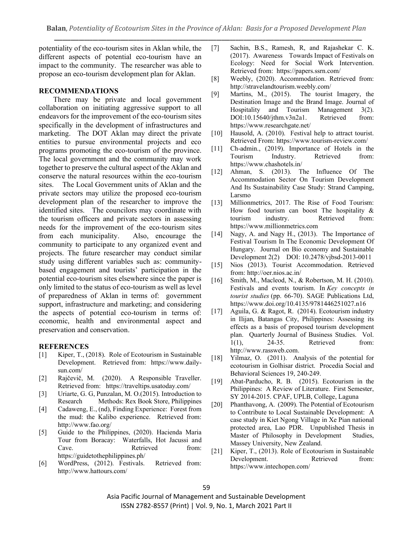potentiality of the eco-tourism sites in Aklan while, the different aspects of potential eco-tourism have an impact to the community. The researcher was able to propose an eco-tourism development plan for Aklan.

#### **RECOMMENDATIONS**

There may be private and local government collaboration on initiating aggressive support to all endeavors for the improvement of the eco-tourism sites specifically in the development of infrastructures and marketing. The DOT Aklan may direct the private entities to pursue environmental projects and eco programs promoting the eco-tourism of the province. The local government and the community may work together to preserve the cultural aspect of the Aklan and conserve the natural resources within the eco-tourism sites. The Local Government units of Aklan and the private sectors may utilize the proposed eco-tourism development plan of the researcher to improve the identified sites. The councilors may coordinate with the tourism officers and private sectors in assessing needs for the improvement of the eco-tourism sites from each municipality. Also, encourage the community to participate to any organized event and projects. The future researcher may conduct similar study using different variables such as: communitybased engagement and tourists' participation in the potential eco-tourism sites elsewhere since the paper is only limited to the status of eco-tourism as well as level of preparedness of Aklan in terms of: government support, infrastructure and marketing; and considering the aspects of potential eco-tourism in terms of: economic, health and environmental aspect and preservation and conservation.

#### **REFERENCES**

- [1] Kiper, T., (2018). Role of Ecotourism in Sustainable Development. Retrieved from: [https://www.daily](https://www.daily-sun.com/)[sun.com/](https://www.daily-sun.com/)
- [2] Rajčevič, M. (2020). A Responsible Traveller. Retrieved from: <https://traveltips.usatoday.com/>
- [3] Uriarte, G. G, Punzalan, M. O.(2015). Introduction to Research Methods: Rex Book Store, Philippines
- [4] Cadaweng, E., (nd), Finding Experience: Forest from the mud: the Kalibo experience. Retrieved from: <http://www.fao.org/>
- [5] Guide to the Philippines, (2020). Hacienda Maria Tour from Boracay: Waterfalls, Hot Jacussi and Cave. Retrieved from: <https://guidetothephilippines.ph/>
- [6] WordPress, (2012). Festivals. Retrieved from: <http://www.hattours.com/>
- [7] Sachin, B.S., Ramesh, R, and Rajashekar C. K. (2017). Awareness Towards Impact of Festivals on Ecology: Need for Social Work Intervention. Retrieved from: <https://papers.ssrn.com/>
- [8] Weebly, (2020). Accommodation. Retrieved from: <http://stravelandtourism.weebly.com/>
- [9] Martins, M., (2015). The tourist Imagery, the Destination Image and the Brand Image. Journal of Hospitality and Tourism Management 3(2). DOI:10.15640/jthm.v3n2a1. Retrieved from: <https://www.researchgate.net/>
- [10] Hausold, A. (2010). Festival help to attract tourist. Retrieved From[: https://www.tourism-review.com/](https://www.tourism-review.com/)
- [11] Ch-admin., (2019). Importance of Hotels in the Tourism Industry. Retrieved from: <https://www.chashotels.in/>
- [12] Ahman, S. (2013). The Influence Of The Accommodation Sector On Tourism Development And Its Sustainability Case Study: Strand Camping, Larsmo
- [13] Millionmetrics, 2017. The Rise of Food Tourism: How food tourism can boost The hospitality  $\&$ tourism industry. Retrieved from: [https://www.millionmetrics.com](https://www.millionmetrics.com/)
- [14] Nagy, A. and Nagy H., (2013). The Importance of Festival Tourism In The Economic Development Of Hungary. Journal on Bio economy and Sustainable Development 2(2) DOI: 10.2478/vjbsd-2013-0011
- [15] Nios (2013). Tourist Accommodation. Retrieved from:<http://oer.nios.ac.in/>
- [16] Smith, M., Macleod, N., & Robertson, M. H. (2010). Festivals and events tourism. In *Key concepts in tourist studies* (pp. 66-70). SAGE Publications Ltd, https://www.doi.org/10.4135/9781446251027.n16
- [17] Aguila, G. & Ragot, R. (2014). Ecotourism industry in Ilijan, Batangas City, Philippines: Assessing its effects as a basis of proposed tourism development plan. Quarterly Journal of Business Studies. Vol. 1(1), 24-35. Retrieved from: [http://www.rassweb.com.](http://www.rassweb.com/)
- [18] Yilmaz, O. (2011). Analysis of the potential for ecotourism in Golhisar district. Procedia Social and Behavioral Sciences 19, 240-249.
- [19] Abat-Parducho, R. B. (2015). Ecotourism in the Philippines: A Review of Literature. First Semester, SY 2014-2015. CPAF, UPLB, College, Laguna
- [20] Phanthavong, A. (2009). The Potential of Ecotourism to Contribute to Local Sustainable Development: A case study in Kiet Ngong Village in Xe Pian national protected area, Lao PDR. Unpublished Thesis in Master of Philosophy in Development Studies, Massey University, New Zealand.
- [21] Kiper, T., (2013). Role of Ecotourism in Sustainable Development. Retrieved from: <https://www.intechopen.com/>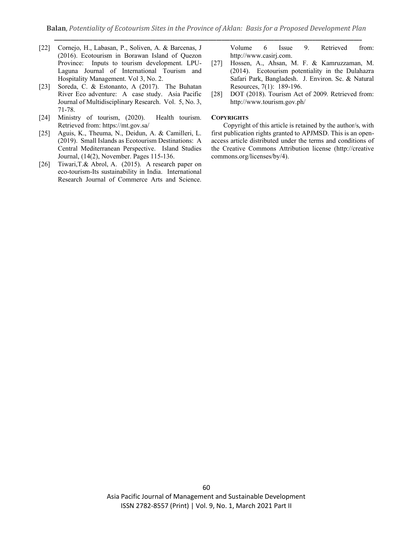- [22] Cornejo, H., Labasan, P., Soliven, A. & Barcenas, J (2016). Ecotourism in Borawan Island of Quezon Province: Inputs to tourism development. LPU-Laguna Journal of International Tourism and Hospitality Management. Vol 3, No. 2.
- [23] Soreda, C. & Estonanto, A (2017). The Buhatan River Eco adventure: A case study. Asia Pacific Journal of Multidisciplinary Research. Vol. 5, No. 3, 71-78.
- [24] Ministry of tourism, (2020). Health tourism. Retrieved from[: https://mt.gov.sa/](https://mt.gov.sa/)
- [25] Aguis, K., Theuma, N., Deidun, A. & Camilleri, L. (2019). Small Islands as Ecotourism Destinations: A Central Mediterranean Perspective. Island Studies Journal, (14(2), November. Pages 115-136.
- [26] Tiwari,T.& Abrol, A. (2015). A research paper on eco-tourism-Its sustainability in India. International Research Journal of Commerce Arts and Science.

Volume 6 Issue 9. Retrieved from: [http://www.casirj.com.](http://www.casirj.com/)

- [27] Hossen, A., Ahsan, M. F. & Kamruzzaman, M. (2014). Ecotourism potentiality in the Dulahazra Safari Park, Bangladesh. J. Environ. Sc. & Natural Resources, 7(1): 189-196.
- [28] DOT (2018). Tourism Act of 2009. Retrieved from: <http://www.tourism.gov.ph/>

#### **COPYRIGHTS**

Copyright of this article is retained by the author/s, with first publication rights granted to APJMSD. This is an openaccess article distributed under the terms and conditions of the Creative Commons Attribution license (http://creative commons.org/licenses/by/4).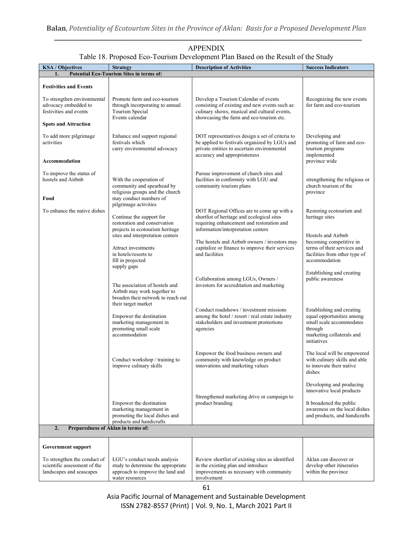| Table To. I Toposed Leo-Tourism Development I fail Dased on the Result of the Budy       |                                                                                                                            |                                                                                                                                                                                    |                                                                                                                                           |  |  |
|------------------------------------------------------------------------------------------|----------------------------------------------------------------------------------------------------------------------------|------------------------------------------------------------------------------------------------------------------------------------------------------------------------------------|-------------------------------------------------------------------------------------------------------------------------------------------|--|--|
| <b>KSA</b> / Objectives<br>1.                                                            | <b>Strategy</b><br>Potential Eco-Tourism Sites in terms of:                                                                | <b>Description of Activities</b>                                                                                                                                                   | <b>Success Indicators</b>                                                                                                                 |  |  |
| <b>Festivities and Events</b>                                                            |                                                                                                                            |                                                                                                                                                                                    |                                                                                                                                           |  |  |
| To strengthen environmental<br>advocacy embedded to<br>festivities and events            | Promote farm and eco-tourism<br>through incorporating to annual<br>Tourism Special<br>Events calendar                      | Develop a Tourism Calendar of events<br>consisting of existing and new events such as:<br>culinary shows, musical and cultural events,<br>showcasing the farm and eco-tourism etc. | Recognizing the new events<br>for farm and eco-tourism                                                                                    |  |  |
| <b>Spots and Attraction</b>                                                              |                                                                                                                            |                                                                                                                                                                                    |                                                                                                                                           |  |  |
| To add more pilgrimage<br>activities                                                     | Enhance and support regional<br>festivals which<br>carry environmental advocacy                                            | DOT representatives design a set of criteria to<br>be applied to festivals organized by LGUs and<br>private entities to ascertain environmental<br>accuracy and appropriateness    | Developing and<br>promoting of farm and eco-<br>tourism programs<br>implemented                                                           |  |  |
| Accommodation                                                                            |                                                                                                                            |                                                                                                                                                                                    | province wide                                                                                                                             |  |  |
| To improve the status of<br>hostels and Airbnb                                           | With the cooperation of<br>community and spearhead by<br>religious groups and the church                                   | Pursue improvement of church sites and<br>facilities in conformity with LGU and<br>community tourism plans                                                                         | strengthening the religious or<br>church tourism of the<br>province                                                                       |  |  |
| Food                                                                                     | may conduct numbers of                                                                                                     |                                                                                                                                                                                    |                                                                                                                                           |  |  |
| To enhance the native dishes                                                             | pilgrimage activities<br>Continue the support for<br>restoration and conservation<br>projects in ecotourism heritage       | DOT Regional Offices are to come up with a<br>shortlist of heritage and ecological sites<br>requiring enhancement and restoration and<br>information/interpretation centers        | Restoring ecotourism and<br>heritage sites                                                                                                |  |  |
|                                                                                          | sites and interpretation centers<br>Attract investments<br>in hotels/resorts to<br>fill in projected<br>supply gaps        | The hostels and Airbnb owners / investors may<br>capitalize or finance to improve their services<br>and facilities                                                                 | Hostels and Airbnb<br>becoming competitive in<br>terms of their services and<br>facilities from other type of<br>accommodation            |  |  |
|                                                                                          | The association of hostels and<br>Airbnb may work together to<br>broaden their network to reach out<br>their target market | Collaboration among LGUs, Owners /<br>investors for accreditation and marketing                                                                                                    | Establishing and creating<br>public awareness                                                                                             |  |  |
|                                                                                          | Empower the destination<br>marketing management in<br>promoting small scale<br>accommodation                               | Conduct roadshows / investment missions<br>among the hotel / resort / real estate industry<br>stakeholders and investment promotions<br>agencies                                   | Establishing and creating<br>equal opportunities among<br>small scale accommodates<br>through<br>marketing collaterals and<br>initiatives |  |  |
|                                                                                          | Conduct workshop / training to<br>improve culinary skills                                                                  | Empower the food business owners and<br>community with knowledge on product<br>innovations and marketing values                                                                    | The local will be empowered<br>with culinary skills and able<br>to innovate their native<br>dishes                                        |  |  |
|                                                                                          |                                                                                                                            |                                                                                                                                                                                    | Developing and producing<br>innovative local products                                                                                     |  |  |
|                                                                                          | Empower the destination<br>marketing management in<br>promoting the local dishes and<br>products and handicrafts           | Strengthened marketing drive or campaign to<br>product branding                                                                                                                    | It broadened the public<br>awareness on the local dishes<br>and products, and handicrafts                                                 |  |  |
| 2.                                                                                       | Preparedness of Aklan in terms of:                                                                                         |                                                                                                                                                                                    |                                                                                                                                           |  |  |
|                                                                                          |                                                                                                                            |                                                                                                                                                                                    |                                                                                                                                           |  |  |
| <b>Government support</b>                                                                |                                                                                                                            |                                                                                                                                                                                    |                                                                                                                                           |  |  |
| To strengthen the conduct of<br>scientific assessment of the<br>landscapes and seascapes | LGU's conduct needs analysis<br>study to determine the appropriate<br>approach to improve the land and<br>water resources  | Review shortlist of existing sites as identified<br>in the existing plan and introduce<br>improvements as necessary with community<br>involvement                                  | Aklan can discover or<br>develop other itineraries<br>within the province                                                                 |  |  |

## APPENDIX Table 18. Proposed Eco-Tourism Development Plan Based on the Result of the Study

61